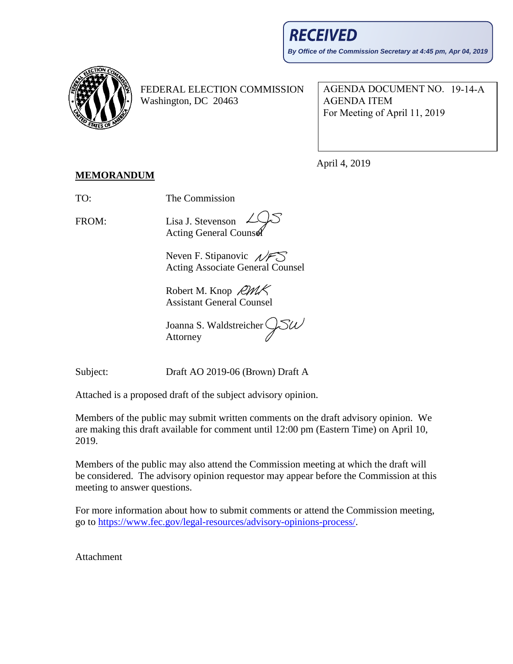

FEDERAL ELECTION COMMISSION Washington, DC 20463

AGENDA DOCUMENT NO. 19-14-A AGENDA ITEM For Meeting of April 11, 2019

April 4, 2019

## **MEMORANDUM**

TO: The Commission

FROM: Lisa J. Stevenson

**Acting General Counse** 

Neven F. Stipanovic  $\sqrt{FS}$ Acting Associate General Counsel

Robert M. Knop *RMK* Assistant General Counsel

SW Joanna S. Waldstreicher Attorney

Subject: Draft AO 2019-06 (Brown) Draft A

Attached is a proposed draft of the subject advisory opinion.

Members of the public may submit written comments on the draft advisory opinion. We are making this draft available for comment until 12:00 pm (Eastern Time) on April 10, 2019.

Members of the public may also attend the Commission meeting at which the draft will be considered. The advisory opinion requestor may appear before the Commission at this meeting to answer questions.

For more information about how to submit comments or attend the Commission meeting, go to [https://www.fec.gov/legal-resources/advisory-opinions-process/.](https://www.fec.gov/legal-resources/advisory-opinions-process/)

Attachment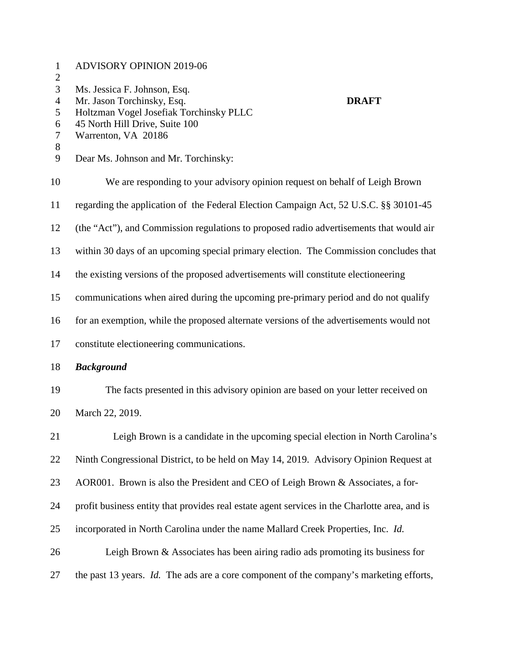| $\mathbf{1}$<br>$\overline{c}$ | <b>ADVISORY OPINION 2019-06</b>                                                                                                                         |
|--------------------------------|---------------------------------------------------------------------------------------------------------------------------------------------------------|
| 3<br>$\overline{4}$<br>5<br>6  | Ms. Jessica F. Johnson, Esq.<br>Mr. Jason Torchinsky, Esq.<br><b>DRAFT</b><br>Holtzman Vogel Josefiak Torchinsky PLLC<br>45 North Hill Drive, Suite 100 |
| $\tau$<br>8                    | Warrenton, VA 20186                                                                                                                                     |
| 9                              | Dear Ms. Johnson and Mr. Torchinsky:                                                                                                                    |
| 10                             | We are responding to your advisory opinion request on behalf of Leigh Brown                                                                             |
| 11                             | regarding the application of the Federal Election Campaign Act, 52 U.S.C. §§ 30101-45                                                                   |
| 12                             | (the "Act"), and Commission regulations to proposed radio advertisements that would air                                                                 |
| 13                             | within 30 days of an upcoming special primary election. The Commission concludes that                                                                   |
| 14                             | the existing versions of the proposed advertisements will constitute electioneering                                                                     |
| 15                             | communications when aired during the upcoming pre-primary period and do not qualify                                                                     |
| 16                             | for an exemption, while the proposed alternate versions of the advertisements would not                                                                 |
| 17                             | constitute electioneering communications.                                                                                                               |
| 18                             | <b>Background</b>                                                                                                                                       |
| 19                             | The facts presented in this advisory opinion are based on your letter received on                                                                       |
| 20                             | March 22, 2019.                                                                                                                                         |
| 21                             | Leigh Brown is a candidate in the upcoming special election in North Carolina's                                                                         |
| 22                             | Ninth Congressional District, to be held on May 14, 2019. Advisory Opinion Request at                                                                   |
| 23                             | AOR001. Brown is also the President and CEO of Leigh Brown & Associates, a for-                                                                         |
| 24                             | profit business entity that provides real estate agent services in the Charlotte area, and is                                                           |
| 25                             | incorporated in North Carolina under the name Mallard Creek Properties, Inc. Id.                                                                        |
| 26                             | Leigh Brown $\&$ Associates has been airing radio ads promoting its business for                                                                        |
| 27                             | the past 13 years. Id. The ads are a core component of the company's marketing efforts,                                                                 |
|                                |                                                                                                                                                         |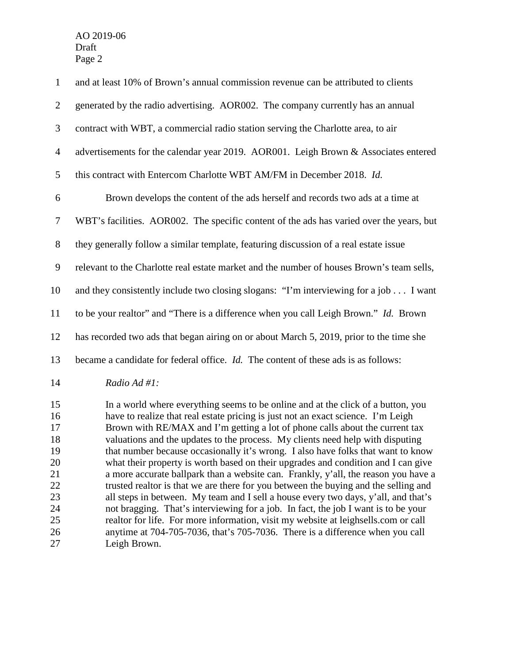| $\mathbf{1}$   | and at least 10% of Brown's annual commission revenue can be attributed to clients                                                                                       |
|----------------|--------------------------------------------------------------------------------------------------------------------------------------------------------------------------|
| $\overline{2}$ | generated by the radio advertising. AOR002. The company currently has an annual                                                                                          |
| 3              | contract with WBT, a commercial radio station serving the Charlotte area, to air                                                                                         |
| $\overline{4}$ | advertisements for the calendar year 2019. AOR001. Leigh Brown & Associates entered                                                                                      |
| 5              | this contract with Entercom Charlotte WBT AM/FM in December 2018. Id.                                                                                                    |
| 6              | Brown develops the content of the ads herself and records two ads at a time at                                                                                           |
| $\tau$         | WBT's facilities. AOR002. The specific content of the ads has varied over the years, but                                                                                 |
| $8\phantom{1}$ | they generally follow a similar template, featuring discussion of a real estate issue                                                                                    |
| $\mathbf{9}$   | relevant to the Charlotte real estate market and the number of houses Brown's team sells,                                                                                |
| 10             | and they consistently include two closing slogans: "I'm interviewing for a job I want                                                                                    |
| 11             | to be your realtor" and "There is a difference when you call Leigh Brown." Id. Brown                                                                                     |
| 12             | has recorded two ads that began airing on or about March 5, 2019, prior to the time she                                                                                  |
| 13             | became a candidate for federal office. <i>Id</i> . The content of these ads is as follows:                                                                               |
| 14             | Radio Ad #1:                                                                                                                                                             |
| 15             | In a world where everything seems to be online and at the click of a button, you                                                                                         |
| 16             | have to realize that real estate pricing is just not an exact science. I'm Leigh                                                                                         |
| 17             | Brown with RE/MAX and I'm getting a lot of phone calls about the current tax                                                                                             |
| 18             | valuations and the updates to the process. My clients need help with disputing                                                                                           |
| 19             | that number because occasionally it's wrong. I also have folks that want to know                                                                                         |
| 20             | what their property is worth based on their upgrades and condition and I can give                                                                                        |
| 21             | a more accurate ballpark than a website can. Frankly, y'all, the reason you have a                                                                                       |
| 22             | trusted realtor is that we are there for you between the buying and the selling and                                                                                      |
| 23<br>24       | all steps in between. My team and I sell a house every two days, y'all, and that's<br>not bragging. That's interviewing for a job. In fact, the job I want is to be your |
| 25             | realtor for life. For more information, visit my website at leighsells.com or call                                                                                       |
| 26             | anytime at 704-705-7036, that's 705-7036. There is a difference when you call                                                                                            |

Leigh Brown.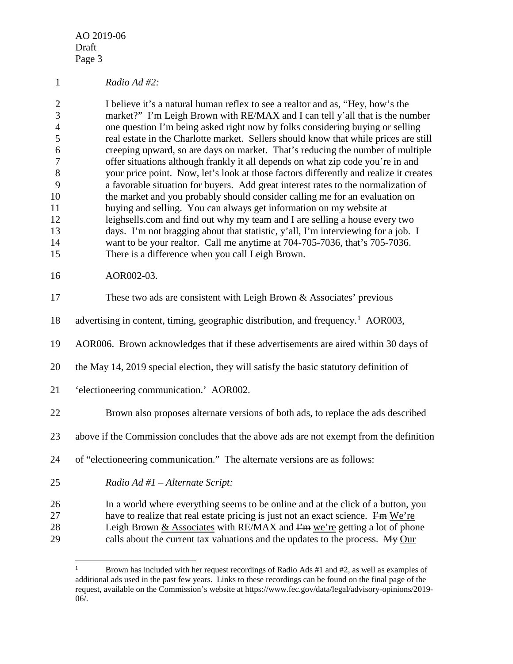*Radio Ad #2:*

 I believe it's a natural human reflex to see a realtor and as, "Hey, how's the market?" I'm Leigh Brown with RE/MAX and I can tell y'all that is the number one question I'm being asked right now by folks considering buying or selling real estate in the Charlotte market. Sellers should know that while prices are still creeping upward, so are days on market. That's reducing the number of multiple offer situations although frankly it all depends on what zip code you're in and your price point. Now, let's look at those factors differently and realize it creates a favorable situation for buyers. Add great interest rates to the normalization of the market and you probably should consider calling me for an evaluation on buying and selling. You can always get information on my website at leighsells.com and find out why my team and I are selling a house every two days. I'm not bragging about that statistic, y'all, I'm interviewing for a job. I want to be your realtor. Call me anytime at 704-705-7036, that's 705-7036. There is a difference when you call Leigh Brown.

## AOR002-03.

| 17       | These two ads are consistent with Leigh Brown & Associates' previous                                                                                                |
|----------|---------------------------------------------------------------------------------------------------------------------------------------------------------------------|
| 18       | advertising in content, timing, geographic distribution, and frequency. <sup>1</sup> AOR003,                                                                        |
| 19       | AOR006. Brown acknowledges that if these advertisements are aired within 30 days of                                                                                 |
| 20       | the May 14, 2019 special election, they will satisfy the basic statutory definition of                                                                              |
| 21       | 'electioneering communication.' AOR002.                                                                                                                             |
| 22       | Brown also proposes alternate versions of both ads, to replace the ads described                                                                                    |
| 23       | above if the Commission concludes that the above ads are not exempt from the definition                                                                             |
| 24       | of "electioneering communication." The alternate versions are as follows:                                                                                           |
| 25       | Radio Ad #1 - Alternate Script:                                                                                                                                     |
| 26<br>27 | In a world where everything seems to be online and at the click of a button, you<br>have to realize that real estate pricing is just not an exact science. Fm We're |
| 28       | Leigh Brown $&$ Associates with RE/MAX and $F2$ m we're getting a lot of phone                                                                                      |

<span id="page-3-0"></span>29 calls about the current tax valuations and the updates to the process. My Our

<sup>&</sup>lt;sup>1</sup> Brown has included with her request recordings of Radio Ads  $#1$  and  $#2$ , as well as examples of additional ads used in the past few years. Links to these recordings can be found on the final page of the request, available on the Commission's website at https://www.fec.gov/data/legal/advisory-opinions/2019- 06/.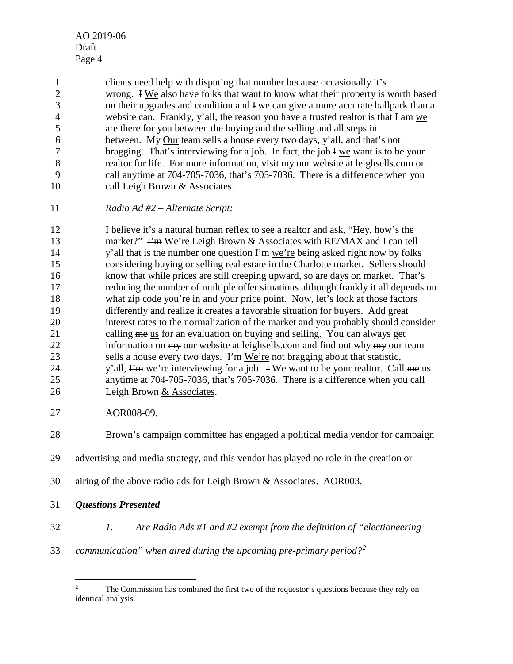1 clients need help with disputing that number because occasionally it's<br>2 wrong. I We also have folks that want to know what their property is v wrong. I We also have folks that want to know what their property is worth based on their upgrades and condition and I we can give a more accurate ballpark than a 4 website can. Frankly, y'all, the reason you have a trusted realtor is that I am we are there for you between the buying and the selling and all steps in between. My Our team sells a house every two days, y'all, and that's not bragging. That's interviewing for a job. In fact, the job I we want is to be your 8 realtor for life. For more information, visit  $m_{\rm V}$  our website at leighsells.com or call anytime at 704-705-7036, that's 705-7036. There is a difference when you 10 call Leigh Brown & Associates.

*Radio Ad #2 – Alternate Script:*

 I believe it's a natural human reflex to see a realtor and ask, "Hey, how's the 13 market?" I'm We're Leigh Brown & Associates with RE/MAX and I can tell 14 y'all that is the number one question  $\vec{F}$  we're being asked right now by folks considering buying or selling real estate in the Charlotte market. Sellers should know that while prices are still creeping upward, so are days on market. That's reducing the number of multiple offer situations although frankly it all depends on what zip code you're in and your price point. Now, let's look at those factors differently and realize it creates a favorable situation for buyers. Add great interest rates to the normalization of the market and you probably should consider 21 calling me us for an evaluation on buying and selling. You can always get 22 information on  $\frac{m}{v}$  our website at leighsells.com and find out why  $\frac{m}{v}$  our team 23 sells a house every two days.  $\vec{F}$  We're not bragging about that statistic, 24 y'all,  $\lim_{x \to a}$  we're interviewing for a job. I We want to be your realtor. Call me us anytime at 704-705-7036, that's 705-7036. There is a difference when you call Leigh Brown & Associates.

AOR008-09.

Brown's campaign committee has engaged a political media vendor for campaign

- advertising and media strategy, and this vendor has played no role in the creation or
- airing of the above radio ads for Leigh Brown & Associates. AOR003.
- *Questions Presented*
- *1. Are Radio Ads #1 and #2 exempt from the definition of "electioneering*
- <span id="page-4-0"></span>*communication" when aired during the upcoming pre-primary period?[2](#page-4-0)*

<sup>&</sup>lt;sup>2</sup> The Commission has combined the first two of the requestor's questions because they rely on identical analysis.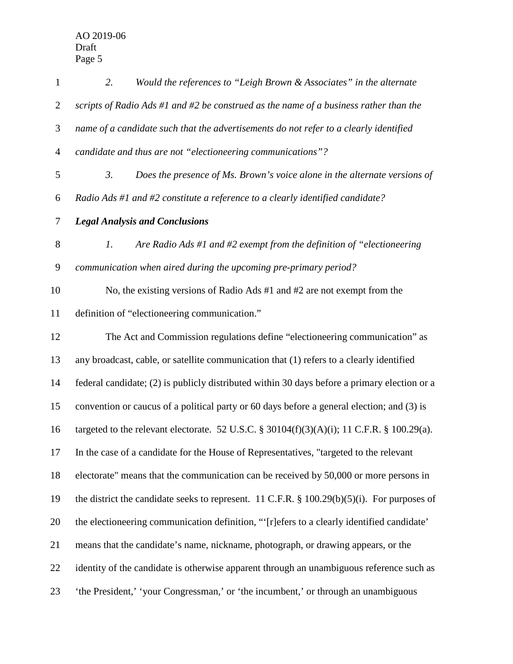| $\mathbf{1}$   | Would the references to "Leigh Brown & Associates" in the alternate<br>2.                    |
|----------------|----------------------------------------------------------------------------------------------|
| $\overline{2}$ | scripts of Radio Ads #1 and #2 be construed as the name of a business rather than the        |
| 3              | name of a candidate such that the advertisements do not refer to a clearly identified        |
| $\overline{4}$ | candidate and thus are not "electioneering communications"?                                  |
| 5              | 3.<br>Does the presence of Ms. Brown's voice alone in the alternate versions of              |
| 6              | Radio Ads #1 and #2 constitute a reference to a clearly identified candidate?                |
| 7              | <b>Legal Analysis and Conclusions</b>                                                        |
| $8\,$          | Are Radio Ads #1 and #2 exempt from the definition of "electioneering"<br>1.                 |
| $\mathbf{9}$   | communication when aired during the upcoming pre-primary period?                             |
| 10             | No, the existing versions of Radio Ads $#1$ and $#2$ are not exempt from the                 |
| 11             | definition of "electioneering communication."                                                |
| 12             | The Act and Commission regulations define "electioneering communication" as                  |
| 13             | any broadcast, cable, or satellite communication that (1) refers to a clearly identified     |
| 14             | federal candidate; (2) is publicly distributed within 30 days before a primary election or a |
| 15             | convention or caucus of a political party or 60 days before a general election; and (3) is   |
| 16             | targeted to the relevant electorate. 52 U.S.C. § 30104(f)(3)(A)(i); 11 C.F.R. § 100.29(a).   |
| 17             | In the case of a candidate for the House of Representatives, "targeted to the relevant       |
| 18             | electorate" means that the communication can be received by 50,000 or more persons in        |
| 19             | the district the candidate seeks to represent. 11 C.F.R. § 100.29(b)(5)(i). For purposes of  |
| 20             | the electioneering communication definition, "'[r]efers to a clearly identified candidate'   |
| 21             | means that the candidate's name, nickname, photograph, or drawing appears, or the            |
| 22             | identity of the candidate is otherwise apparent through an unambiguous reference such as     |
| 23             | 'the President,' 'your Congressman,' or 'the incumbent,' or through an unambiguous           |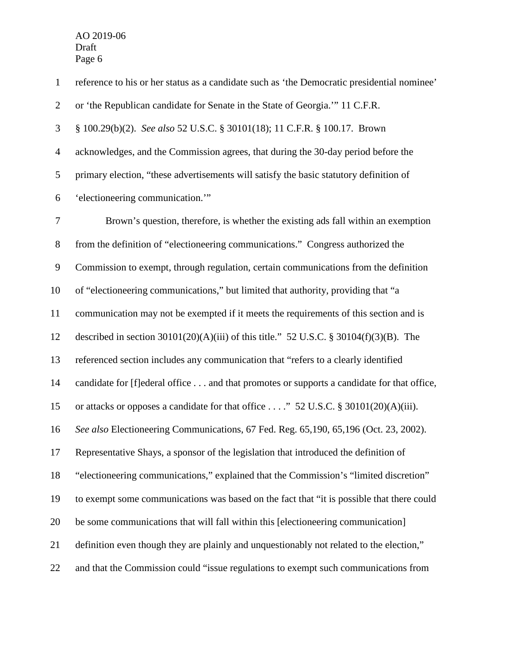reference to his or her status as a candidate such as 'the Democratic presidential nominee' or 'the Republican candidate for Senate in the State of Georgia.'" 11 C.F.R. § 100.29(b)(2). *See also* 52 U.S.C. § 30101(18); 11 C.F.R. § 100.17. Brown acknowledges, and the Commission agrees, that during the 30-day period before the primary election, "these advertisements will satisfy the basic statutory definition of 'electioneering communication.'" Brown's question, therefore, is whether the existing ads fall within an exemption from the definition of "electioneering communications." Congress authorized the Commission to exempt, through regulation, certain communications from the definition of "electioneering communications," but limited that authority, providing that "a communication may not be exempted if it meets the requirements of this section and is described in section 30101(20)(A)(iii) of this title." 52 U.S.C. § 30104(f)(3)(B). The referenced section includes any communication that "refers to a clearly identified candidate for [f]ederal office . . . and that promotes or supports a candidate for that office, or attacks or opposes a candidate for that office . . . ." 52 U.S.C. § 30101(20)(A)(iii). *See also* Electioneering Communications, 67 Fed. Reg. 65,190, 65,196 (Oct. 23, 2002). Representative Shays, a sponsor of the legislation that introduced the definition of "electioneering communications," explained that the Commission's "limited discretion" to exempt some communications was based on the fact that "it is possible that there could be some communications that will fall within this [electioneering communication] definition even though they are plainly and unquestionably not related to the election," and that the Commission could "issue regulations to exempt such communications from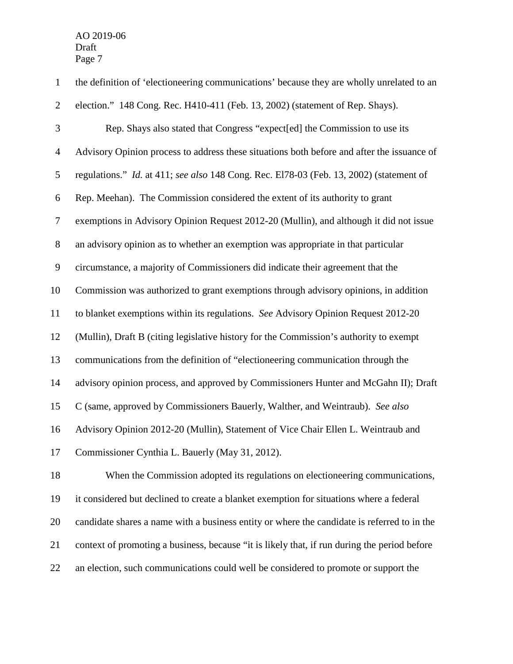| $\mathbf{1}$   | the definition of 'electioneering communications' because they are wholly unrelated to an    |
|----------------|----------------------------------------------------------------------------------------------|
| $\overline{2}$ | election." 148 Cong. Rec. H410-411 (Feb. 13, 2002) (statement of Rep. Shays).                |
| 3              | Rep. Shays also stated that Congress "expect[ed] the Commission to use its                   |
| $\overline{4}$ | Advisory Opinion process to address these situations both before and after the issuance of   |
| 5              | regulations." Id. at 411; see also 148 Cong. Rec. E178-03 (Feb. 13, 2002) (statement of      |
| 6              | Rep. Meehan). The Commission considered the extent of its authority to grant                 |
| $\tau$         | exemptions in Advisory Opinion Request 2012-20 (Mullin), and although it did not issue       |
| $8\,$          | an advisory opinion as to whether an exemption was appropriate in that particular            |
| $\mathbf{9}$   | circumstance, a majority of Commissioners did indicate their agreement that the              |
| 10             | Commission was authorized to grant exemptions through advisory opinions, in addition         |
| 11             | to blanket exemptions within its regulations. See Advisory Opinion Request 2012-20           |
| 12             | (Mullin), Draft B (citing legislative history for the Commission's authority to exempt       |
| 13             | communications from the definition of "electioneering communication through the              |
| 14             | advisory opinion process, and approved by Commissioners Hunter and McGahn II); Draft         |
| 15             | C (same, approved by Commissioners Bauerly, Walther, and Weintraub). See also                |
| 16             | Advisory Opinion 2012-20 (Mullin), Statement of Vice Chair Ellen L. Weintraub and            |
| 17             | Commissioner Cynthia L. Bauerly (May 31, 2012).                                              |
| 18             | When the Commission adopted its regulations on electioneering communications,                |
| 19             | it considered but declined to create a blanket exemption for situations where a federal      |
| 20             | candidate shares a name with a business entity or where the candidate is referred to in the  |
| 21             | context of promoting a business, because "it is likely that, if run during the period before |
| 22             | an election, such communications could well be considered to promote or support the          |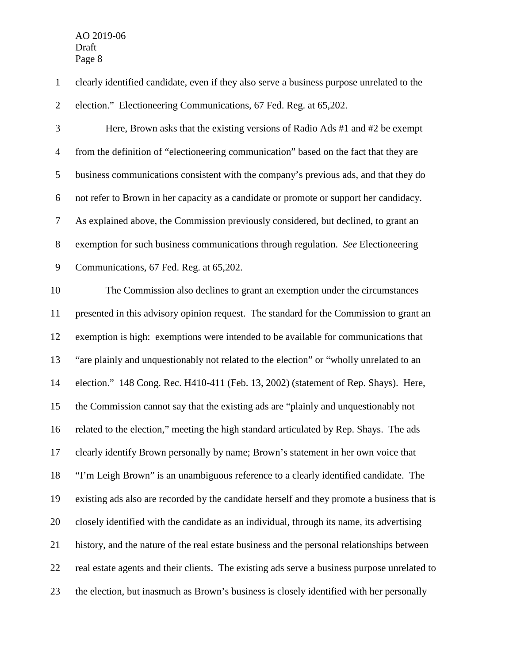clearly identified candidate, even if they also serve a business purpose unrelated to the

election." Electioneering Communications, 67 Fed. Reg. at 65,202.

 Here, Brown asks that the existing versions of Radio Ads #1 and #2 be exempt from the definition of "electioneering communication" based on the fact that they are business communications consistent with the company's previous ads, and that they do not refer to Brown in her capacity as a candidate or promote or support her candidacy. As explained above, the Commission previously considered, but declined, to grant an exemption for such business communications through regulation. *See* Electioneering Communications, 67 Fed. Reg. at 65,202.

 The Commission also declines to grant an exemption under the circumstances presented in this advisory opinion request. The standard for the Commission to grant an exemption is high: exemptions were intended to be available for communications that "are plainly and unquestionably not related to the election" or "wholly unrelated to an election." 148 Cong. Rec. H410-411 (Feb. 13, 2002) (statement of Rep. Shays). Here, the Commission cannot say that the existing ads are "plainly and unquestionably not related to the election," meeting the high standard articulated by Rep. Shays. The ads clearly identify Brown personally by name; Brown's statement in her own voice that "I'm Leigh Brown" is an unambiguous reference to a clearly identified candidate. The existing ads also are recorded by the candidate herself and they promote a business that is closely identified with the candidate as an individual, through its name, its advertising history, and the nature of the real estate business and the personal relationships between real estate agents and their clients. The existing ads serve a business purpose unrelated to the election, but inasmuch as Brown's business is closely identified with her personally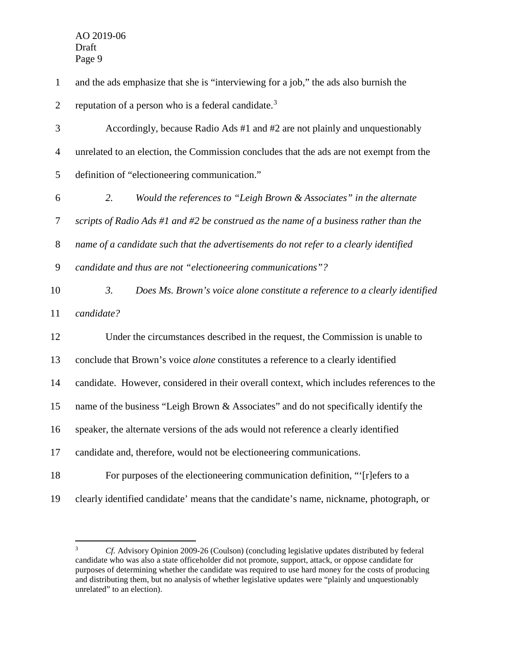and the ads emphasize that she is "interviewing for a job," the ads also burnish the

2 reputation of a person who is a federal candidate.<sup>[3](#page-9-0)</sup>

 Accordingly, because Radio Ads #1 and #2 are not plainly and unquestionably unrelated to an election, the Commission concludes that the ads are not exempt from the definition of "electioneering communication."

 *2. Would the references to "Leigh Brown & Associates" in the alternate scripts of Radio Ads #1 and #2 be construed as the name of a business rather than the name of a candidate such that the advertisements do not refer to a clearly identified candidate and thus are not "electioneering communications"? 3. Does Ms. Brown's voice alone constitute a reference to a clearly identified* 

*candidate?*

 Under the circumstances described in the request, the Commission is unable to conclude that Brown's voice *alone* constitutes a reference to a clearly identified candidate. However, considered in their overall context, which includes references to the name of the business "Leigh Brown & Associates" and do not specifically identify the speaker, the alternate versions of the ads would not reference a clearly identified candidate and, therefore, would not be electioneering communications. For purposes of the electioneering communication definition, "'[r]efers to a

<span id="page-9-0"></span>clearly identified candidate' means that the candidate's name, nickname, photograph, or

 *Cf.* Advisory Opinion 2009-26 (Coulson) (concluding legislative updates distributed by federal candidate who was also a state officeholder did not promote, support, attack, or oppose candidate for purposes of determining whether the candidate was required to use hard money for the costs of producing and distributing them, but no analysis of whether legislative updates were "plainly and unquestionably unrelated" to an election).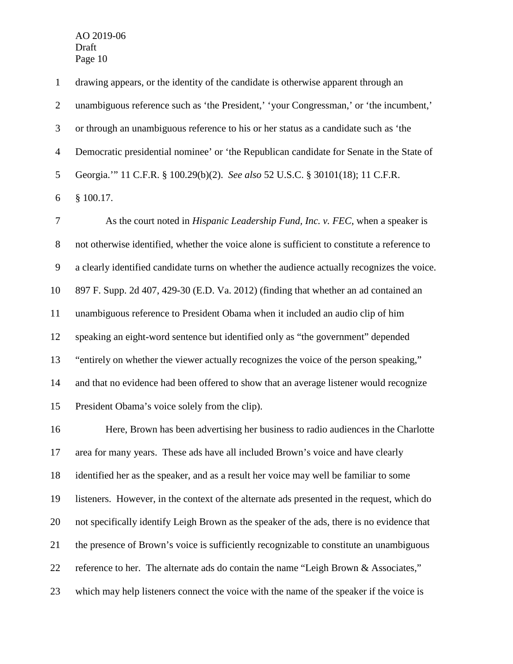drawing appears, or the identity of the candidate is otherwise apparent through an 2 unambiguous reference such as 'the President,' 'your Congressman,' or 'the incumbent,' or through an unambiguous reference to his or her status as a candidate such as 'the Democratic presidential nominee' or 'the Republican candidate for Senate in the State of Georgia.'" 11 C.F.R. § 100.29(b)(2). *See also* 52 U.S.C. § 30101(18); 11 C.F.R. § 100.17.

 As the court noted in *Hispanic Leadership Fund, Inc. v. FEC*, when a speaker is not otherwise identified, whether the voice alone is sufficient to constitute a reference to a clearly identified candidate turns on whether the audience actually recognizes the voice. 897 F. Supp. 2d 407, 429-30 (E.D. Va. 2012) (finding that whether an ad contained an unambiguous reference to President Obama when it included an audio clip of him speaking an eight-word sentence but identified only as "the government" depended "entirely on whether the viewer actually recognizes the voice of the person speaking," and that no evidence had been offered to show that an average listener would recognize President Obama's voice solely from the clip).

 Here, Brown has been advertising her business to radio audiences in the Charlotte area for many years. These ads have all included Brown's voice and have clearly identified her as the speaker, and as a result her voice may well be familiar to some listeners. However, in the context of the alternate ads presented in the request, which do not specifically identify Leigh Brown as the speaker of the ads, there is no evidence that the presence of Brown's voice is sufficiently recognizable to constitute an unambiguous reference to her. The alternate ads do contain the name "Leigh Brown & Associates," which may help listeners connect the voice with the name of the speaker if the voice is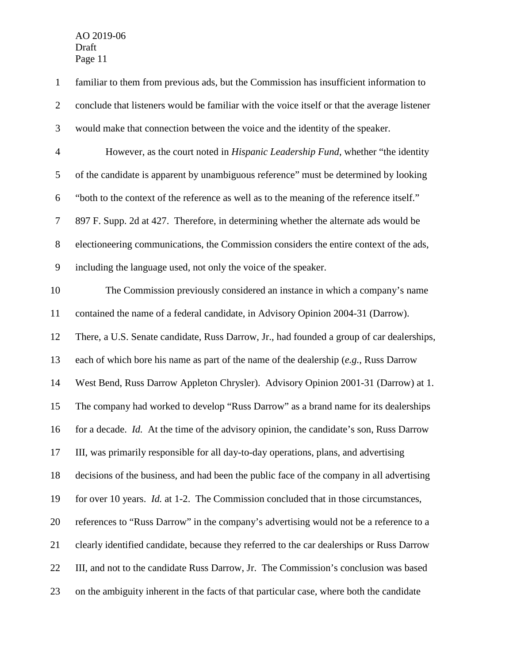familiar to them from previous ads, but the Commission has insufficient information to conclude that listeners would be familiar with the voice itself or that the average listener would make that connection between the voice and the identity of the speaker. However, as the court noted in *Hispanic Leadership Fund*, whether "the identity of the candidate is apparent by unambiguous reference" must be determined by looking "both to the context of the reference as well as to the meaning of the reference itself." 897 F. Supp. 2d at 427. Therefore, in determining whether the alternate ads would be electioneering communications, the Commission considers the entire context of the ads, including the language used, not only the voice of the speaker. The Commission previously considered an instance in which a company's name contained the name of a federal candidate, in Advisory Opinion 2004-31 (Darrow). There, a U.S. Senate candidate, Russ Darrow, Jr., had founded a group of car dealerships, each of which bore his name as part of the name of the dealership (*e.g.*, Russ Darrow West Bend, Russ Darrow Appleton Chrysler). Advisory Opinion 2001-31 (Darrow) at 1. The company had worked to develop "Russ Darrow" as a brand name for its dealerships for a decade. *Id.* At the time of the advisory opinion, the candidate's son, Russ Darrow III, was primarily responsible for all day-to-day operations, plans, and advertising decisions of the business, and had been the public face of the company in all advertising for over 10 years. *Id.* at 1-2. The Commission concluded that in those circumstances, references to "Russ Darrow" in the company's advertising would not be a reference to a clearly identified candidate, because they referred to the car dealerships or Russ Darrow III, and not to the candidate Russ Darrow, Jr. The Commission's conclusion was based on the ambiguity inherent in the facts of that particular case, where both the candidate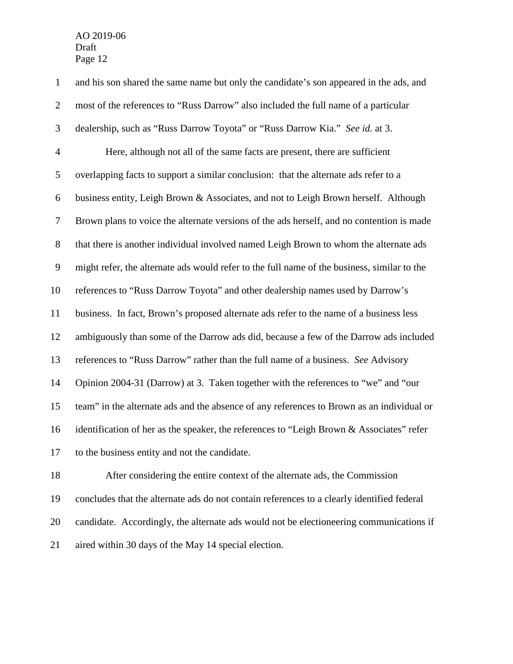and his son shared the same name but only the candidate's son appeared in the ads, and most of the references to "Russ Darrow" also included the full name of a particular dealership, such as "Russ Darrow Toyota" or "Russ Darrow Kia." *See id.* at 3. Here, although not all of the same facts are present, there are sufficient overlapping facts to support a similar conclusion: that the alternate ads refer to a business entity, Leigh Brown & Associates, and not to Leigh Brown herself. Although Brown plans to voice the alternate versions of the ads herself, and no contention is made that there is another individual involved named Leigh Brown to whom the alternate ads might refer, the alternate ads would refer to the full name of the business, similar to the references to "Russ Darrow Toyota" and other dealership names used by Darrow's business. In fact, Brown's proposed alternate ads refer to the name of a business less ambiguously than some of the Darrow ads did, because a few of the Darrow ads included references to "Russ Darrow" rather than the full name of a business. *See* Advisory Opinion 2004-31 (Darrow) at 3. Taken together with the references to "we" and "our team" in the alternate ads and the absence of any references to Brown as an individual or identification of her as the speaker, the references to "Leigh Brown & Associates" refer to the business entity and not the candidate. After considering the entire context of the alternate ads, the Commission

 concludes that the alternate ads do not contain references to a clearly identified federal candidate. Accordingly, the alternate ads would not be electioneering communications if aired within 30 days of the May 14 special election.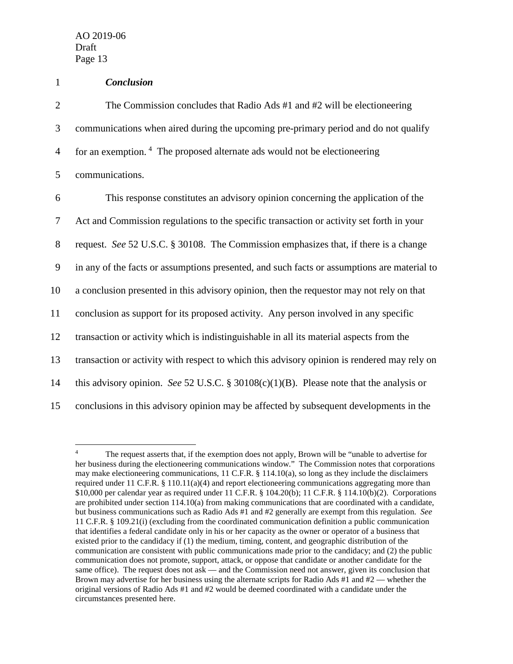## 1 *Conclusion*

2 The Commission concludes that Radio Ads #1 and #2 will be electioneering 3 communications when aired during the upcoming pre-primary period and do not qualify  $\frac{4}{4}$ for an exemption.  $\frac{4}{4}$  The proposed alternate ads would not be electioneering

5 communications.

 This response constitutes an advisory opinion concerning the application of the Act and Commission regulations to the specific transaction or activity set forth in your request. *See* 52 U.S.C. § 30108. The Commission emphasizes that, if there is a change in any of the facts or assumptions presented, and such facts or assumptions are material to a conclusion presented in this advisory opinion, then the requestor may not rely on that conclusion as support for its proposed activity. Any person involved in any specific transaction or activity which is indistinguishable in all its material aspects from the transaction or activity with respect to which this advisory opinion is rendered may rely on this advisory opinion. *See* 52 U.S.C. § 30108(c)(1)(B). Please note that the analysis or conclusions in this advisory opinion may be affected by subsequent developments in the

<span id="page-13-0"></span><sup>&</sup>lt;sup>4</sup> The request asserts that, if the exemption does not apply, Brown will be "unable to advertise for her business during the electioneering communications window." The Commission notes that corporations may make electioneering communications, 11 C.F.R. § 114.10(a), so long as they include the disclaimers required under 11 C.F.R.  $\S$  110.11(a)(4) and report electioneering communications aggregating more than \$10,000 per calendar year as required under 11 C.F.R. § 104.20(b); 11 C.F.R. § 114.10(b)(2). Corporations are prohibited under section 114.10(a) from making communications that are coordinated with a candidate, but business communications such as Radio Ads #1 and #2 generally are exempt from this regulation. *See* 11 C.F.R. § 109.21(i) (excluding from the coordinated communication definition a public communication that identifies a federal candidate only in his or her capacity as the owner or operator of a business that existed prior to the candidacy if (1) the medium, timing, content, and geographic distribution of the communication are consistent with public communications made prior to the candidacy; and (2) the public communication does not promote, support, attack, or oppose that candidate or another candidate for the same office). The request does not ask — and the Commission need not answer, given its conclusion that Brown may advertise for her business using the alternate scripts for Radio Ads #1 and #2 — whether the original versions of Radio Ads #1 and #2 would be deemed coordinated with a candidate under the circumstances presented here.